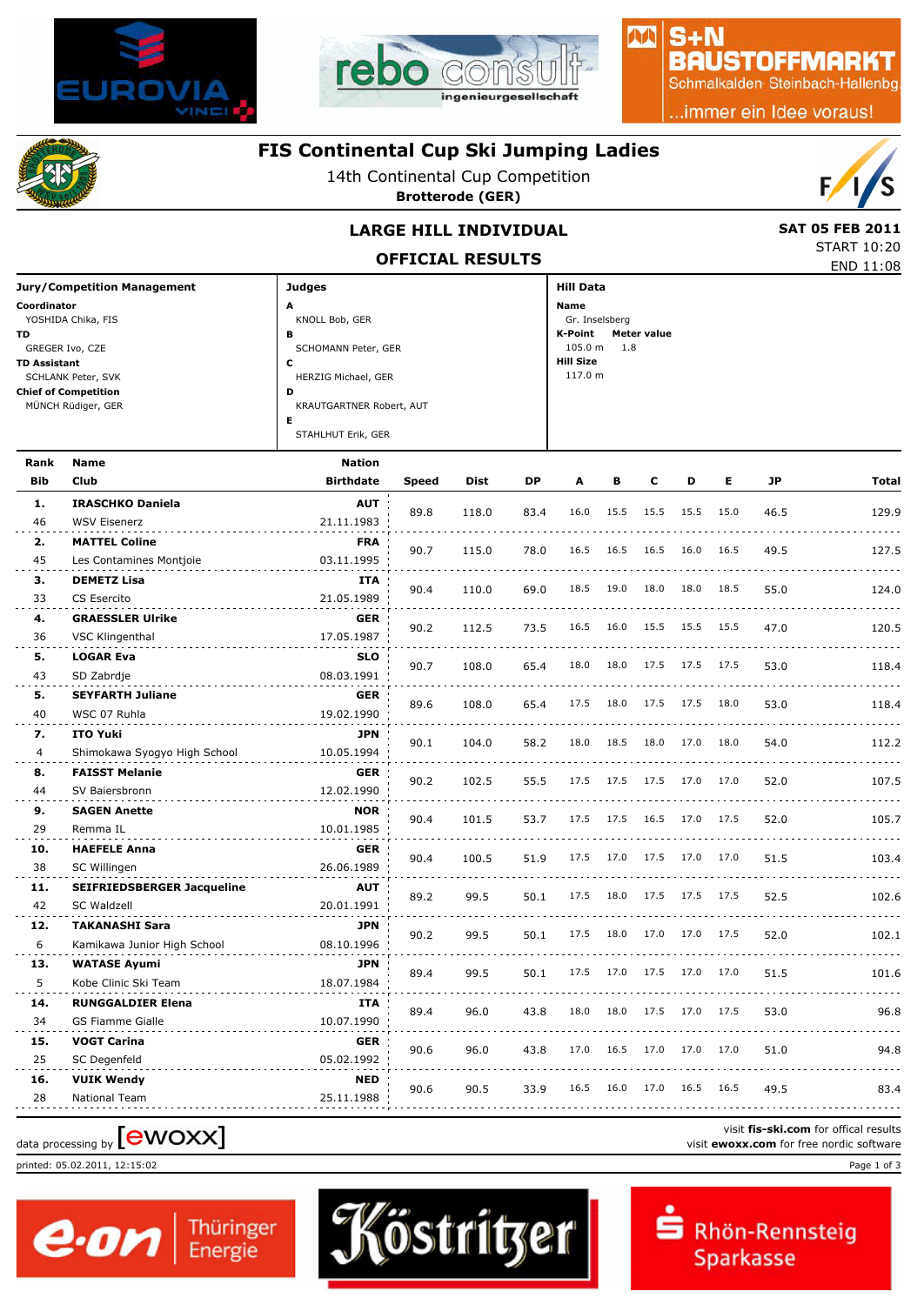



## $S + N$ **BAUSTOFFMARKT**

MA

Schmalkalden Steinbach-Hallenbg

..immer ein Idee voraus!



## **FIS Continental Cup Ski Jumping Ladies**

14th Continental Cup Competition

**Brotterode (GER)**



END 11:08 START 10:20

# **LARGE HILL INDIVIDUAL** SAT 05 FEB 2011

**OFFICIAL RESULTS**

| <b>Jury/Competition Management</b> | <b>Judges</b>            | <b>Hill Data</b>              |
|------------------------------------|--------------------------|-------------------------------|
| Coordinator                        | A                        | Name                          |
| YOSHIDA Chika, FIS                 | KNOLL Bob, GER           | Gr. Inselsberg                |
| TD.                                | в                        | K-Point<br><b>Meter value</b> |
| GREGER Ivo, CZE                    | SCHOMANN Peter, GER      | $105.0 m$ 1.8                 |
| <b>TD Assistant</b>                | J                        | <b>Hill Size</b>              |
| SCHLANK Peter, SVK                 | HERZIG Michael, GER      | 117.0 m                       |
| <b>Chief of Competition</b>        | D                        |                               |
| MÜNCH Rüdiger, GER                 | KRAUTGARTNER Robert, AUT |                               |
|                                    | Е                        |                               |
|                                    | STAHLHUT Erik, GER       |                               |
|                                    |                          |                               |

| Rank           | <b>Name</b>                       | <b>Nation</b>    |       |       |      |      |      |      |           |      |      |              |
|----------------|-----------------------------------|------------------|-------|-------|------|------|------|------|-----------|------|------|--------------|
| <b>Bib</b>     | Club                              | <b>Birthdate</b> | Speed | Dist  | DP   | A    | в    | C    | D         | Е    | JP   | <b>Total</b> |
| 1.             | <b>IRASCHKO Daniela</b>           | <b>AUT</b>       | 89.8  |       |      | 16.0 | 15.5 | 15.5 | 15.5      | 15.0 |      |              |
| 46             | <b>WSV Eisenerz</b>               | 21.11.1983       |       | 118.0 | 83.4 |      |      |      |           |      | 46.5 | 129.9        |
| 2.             | <b>MATTEL Coline</b>              | <b>FRA</b>       | 90.7  | 115.0 | 78.0 | 16.5 | 16.5 | 16.5 | 16.0      | 16.5 | 49.5 | 127.5        |
| 45             | Les Contamines Montjoie           | 03.11.1995       |       |       |      |      |      |      |           |      |      |              |
| з.             | <b>DEMETZ Lisa</b>                | ITA              | 90.4  | 110.0 | 69.0 | 18.5 | 19.0 | 18.0 | 18.0      | 18.5 | 55.0 | 124.0        |
| 33             | CS Esercito                       | 21.05.1989       |       |       |      |      |      |      |           |      |      |              |
| 4.             | <b>GRAESSLER Ulrike</b>           | <b>GER</b>       | 90.2  | 112.5 | 73.5 | 16.5 | 16.0 | 15.5 | 15.5 15.5 |      | 47.0 | 120.5        |
| 36             | VSC Klingenthal                   | 17.05.1987       |       |       |      |      |      |      |           |      |      |              |
| 5.             | <b>LOGAR Eva</b>                  | <b>SLO</b>       | 90.7  | 108.0 | 65.4 | 18.0 | 18.0 | 17.5 | 17.5 17.5 |      | 53.0 | 118.4        |
| 43             | SD Zabrdje                        | 08.03.1991       |       |       |      |      |      |      |           |      |      |              |
| 5.             | <b>SEYFARTH Juliane</b>           | <b>GER</b>       | 89.6  | 108.0 | 65.4 | 17.5 | 18.0 | 17.5 | 17.5      | 18.0 | 53.0 | 118.4        |
| 40             | WSC 07 Ruhla                      | 19.02.1990       |       |       |      |      |      |      |           |      |      |              |
| 7.             | <b>ITO Yuki</b>                   | <b>JPN</b>       | 90.1  | 104.0 | 58.2 | 18.0 | 18.5 | 18.0 | 17.0      | 18.0 | 54.0 | 112.2        |
| $\overline{4}$ | Shimokawa Syogyo High School      | 10.05.1994       |       |       |      |      |      |      |           |      |      |              |
| 8.             | <b>FAISST Melanie</b>             | GER              | 90.2  | 102.5 | 55.5 | 17.5 | 17.5 | 17.5 | 17.0 17.0 |      | 52.0 | 107.5        |
| 44             | SV Baiersbronn                    | 12.02.1990       |       |       |      |      |      |      |           |      |      |              |
| 9.             | <b>SAGEN Anette</b>               | <b>NOR</b>       | 90.4  | 101.5 | 53.7 | 17.5 | 17.5 | 16.5 | 17.0      | 17.5 | 52.0 | 105.7        |
| 29             | Remma IL                          | 10.01.1985       |       |       |      |      |      |      |           |      |      |              |
| 10.            | <b>HAEFELE Anna</b>               | <b>GER</b>       | 90.4  | 100.5 | 51.9 | 17.5 | 17.0 | 17.5 | 17.0      | 17.0 | 51.5 | 103.4        |
| 38             | SC Willingen                      | 26.06.1989       |       |       |      |      |      |      |           |      |      |              |
| 11.            | <b>SEIFRIEDSBERGER Jacqueline</b> | <b>AUT</b>       | 89.2  | 99.5  | 50.1 | 17.5 | 18.0 | 17.5 | 17.5 17.5 |      | 52.5 | 102.6        |
| 42             | SC Waldzell                       | 20.01.1991       |       |       |      |      |      |      |           |      |      |              |
| 12.            | <b>TAKANASHI Sara</b>             | <b>JPN</b>       | 90.2  | 99.5  | 50.1 | 17.5 | 18.0 | 17.0 | 17.0      | 17.5 | 52.0 | 102.1        |
| 6              | Kamikawa Junior High School       | 08.10.1996       |       |       |      |      |      |      |           |      |      |              |
| 13.            | <b>WATASE Ayumi</b>               | <b>JPN</b>       | 89.4  | 99.5  | 50.1 | 17.5 | 17.0 | 17.5 | 17.0      | 17.0 | 51.5 | 101.6        |
| 5              | Kobe Clinic Ski Team              | 18.07.1984       |       |       |      |      |      |      |           |      |      |              |
| 14.            | <b>RUNGGALDIER Elena</b>          | ITA              | 89.4  | 96.0  | 43.8 | 18.0 | 18.0 | 17.5 | 17.0      | 17.5 | 53.0 | 96.8         |
| 34             | <b>GS Fiamme Gialle</b>           | 10.07.1990       |       |       |      |      |      |      |           |      |      |              |
| 15.            | <b>VOGT Carina</b>                | <b>GER</b>       | 90.6  | 96.0  | 43.8 | 17.0 | 16.5 | 17.0 | 17.0      | 17.0 | 51.0 | 94.8         |
| 25             | SC Degenfeld                      | 05.02.1992       |       |       |      |      |      |      |           |      |      |              |
| 16.            | <b>VUIK Wendy</b>                 | <b>NED</b>       | 90.6  | 90.5  | 33.9 | 16.5 | 16.0 | 17.0 | 16.5      | 16.5 | 49.5 | 83.4         |
| 28             | National Team                     | 25.11.1988       |       |       |      |      |      |      |           |      |      |              |

printed: 05.02.2011, 12:15:02 Page 1 of 3





visit **fis-ski.com** for offical results visit fis-ski.com for offical results<br>
visit **ewoxx.com** for free nordic software<br>
visit **ewoxx.com** for free nordic software

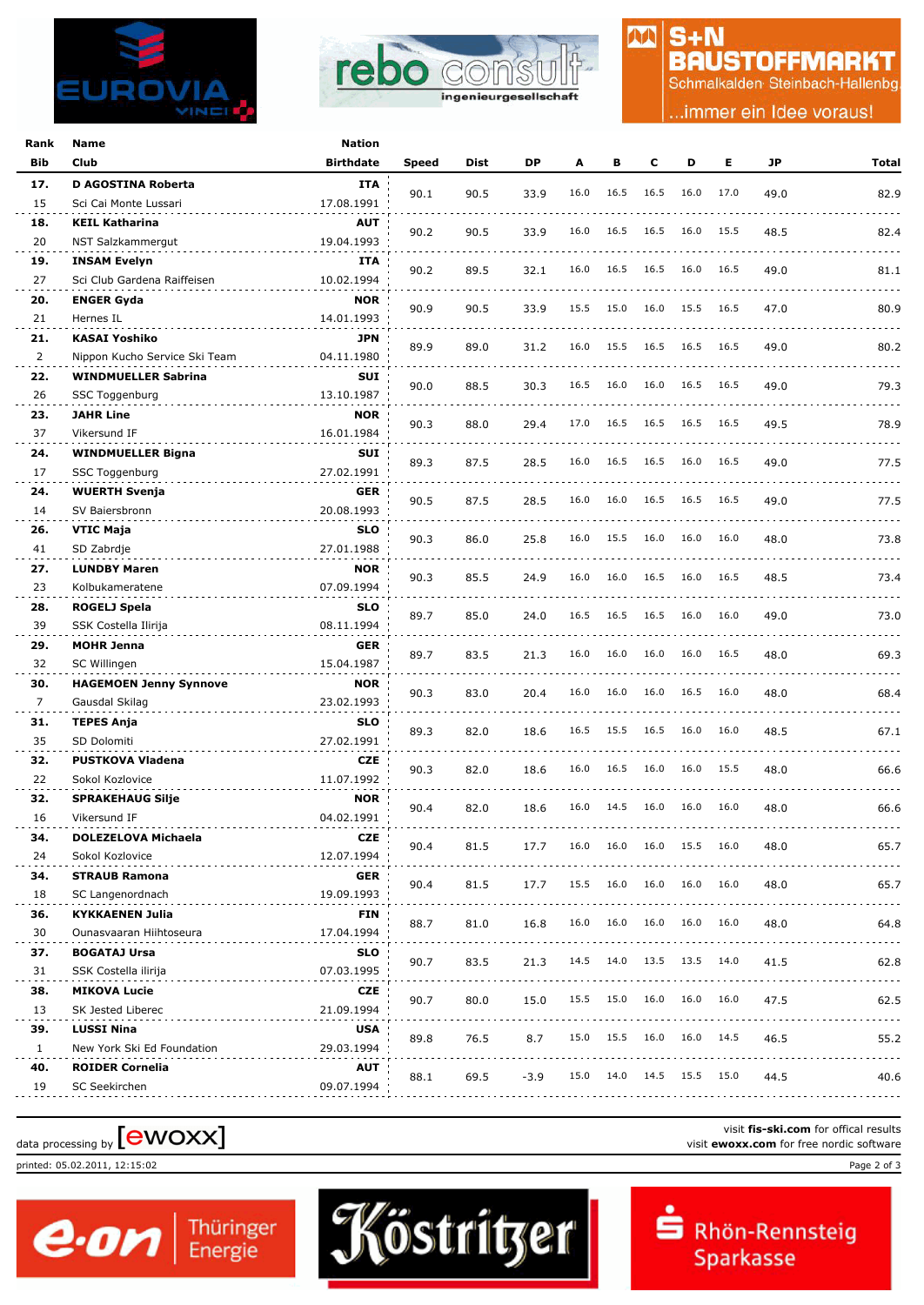



# $S + N$ **BAUSTOFFMARKT**

M

Schmalkalden Steinbach-Hallenbg

.immer ein Idee voraus!

| Rank | Name                          | Nation           |       |      |        |      |      |      |           |      |      |       |
|------|-------------------------------|------------------|-------|------|--------|------|------|------|-----------|------|------|-------|
| Bib  | Club                          | <b>Birthdate</b> | Speed | Dist | DP     | A    | в    | c    | D         | Е    | JP   | Total |
| 17.  | <b>D AGOSTINA Roberta</b>     | <b>ITA</b>       |       |      |        |      |      |      |           |      |      |       |
| 15   | Sci Cai Monte Lussari         | 17.08.1991       | 90.1  | 90.5 | 33.9   | 16.0 | 16.5 | 16.5 | 16.0      | 17.0 | 49.0 | 82.9  |
| 18.  | <b>KEIL Katharina</b>         | <b>AUT</b>       |       |      |        |      |      |      |           |      |      |       |
| 20   | NST Salzkammergut             | 19.04.1993       | 90.2  | 90.5 | 33.9   | 16.0 | 16.5 | 16.5 | 16.0      | 15.5 | 48.5 | 82.4  |
| 19.  | <b>INSAM Evelyn</b>           | ITA              |       |      |        |      |      |      |           |      |      |       |
| 27   | Sci Club Gardena Raiffeisen   | 10.02.1994       | 90.2  | 89.5 | 32.1   | 16.0 | 16.5 | 16.5 | 16.0      | 16.5 | 49.0 | 81.1  |
| 20.  | <b>ENGER Gyda</b>             | <b>NOR</b>       |       |      |        |      |      |      |           |      |      |       |
| 21   | Hernes IL                     | 14.01.1993       | 90.9  | 90.5 | 33.9   | 15.5 | 15.0 | 16.0 | 15.5      | 16.5 | 47.0 | 80.9  |
| 21.  | <b>KASAI Yoshiko</b>          | <b>JPN</b>       |       |      |        |      |      |      |           |      |      |       |
| 2    | Nippon Kucho Service Ski Team | 04.11.1980       | 89.9  | 89.0 | 31.2   | 16.0 | 15.5 | 16.5 | 16.5 16.5 |      | 49.0 | 80.2  |
| 22.  | <b>WINDMUELLER Sabrina</b>    | SUI              |       |      |        |      |      |      |           |      |      |       |
| 26   | SSC Toggenburg                | 13.10.1987       | 90.0  | 88.5 | 30.3   | 16.5 | 16.0 | 16.0 | 16.5      | 16.5 | 49.0 | 79.3  |
| 23.  | <b>JAHR Line</b>              | <b>NOR</b>       |       |      |        |      |      |      |           |      |      |       |
| 37   | Vikersund IF                  | 16.01.1984       | 90.3  | 88.0 | 29.4   | 17.0 | 16.5 | 16.5 | 16.5      | 16.5 | 49.5 | 78.9  |
| 24.  | <b>WINDMUELLER Bigna</b>      | SUI              |       |      |        |      |      |      |           |      |      |       |
| 17   | SSC Toggenburg                | 27.02.1991       | 89.3  | 87.5 | 28.5   | 16.0 | 16.5 | 16.5 | 16.0      | 16.5 | 49.0 | 77.5  |
| 24.  | <b>WUERTH Svenja</b>          | <b>GER</b>       |       |      |        |      |      |      |           |      |      |       |
| 14   | SV Baiersbronn                | 20.08.1993       | 90.5  | 87.5 | 28.5   | 16.0 | 16.0 | 16.5 | 16.5      | 16.5 | 49.0 | 77.5  |
| 26.  | VTIC Maja                     | <b>SLO</b>       |       |      |        |      |      |      |           |      |      |       |
| 41   | SD Zabrdje                    | 27.01.1988       | 90.3  | 86.0 | 25.8   | 16.0 | 15.5 | 16.0 | 16.0      | 16.0 | 48.0 | 73.8  |
| 27.  | <b>LUNDBY Maren</b>           | <b>NOR</b>       |       |      |        |      |      |      |           |      |      |       |
| 23   | Kolbukameratene               | 07.09.1994       | 90.3  | 85.5 | 24.9   | 16.0 | 16.0 | 16.5 | 16.0      | 16.5 | 48.5 | 73.4  |
| 28.  | ROGELJ Spela                  | <b>SLO</b>       |       |      |        |      |      |      |           |      |      |       |
| 39   | SSK Costella Ilirija          | 08.11.1994       | 89.7  | 85.0 | 24.0   | 16.5 | 16.5 | 16.5 | 16.0      | 16.0 | 49.0 | 73.0  |
| 29.  | <b>MOHR Jenna</b>             | <b>GER</b>       |       |      |        |      |      |      |           |      |      |       |
| 32   | SC Willingen                  | 15.04.1987       | 89.7  | 83.5 | 21.3   | 16.0 | 16.0 | 16.0 | 16.0      | 16.5 | 48.0 | 69.3  |
| 30.  | <b>HAGEMOEN Jenny Synnove</b> | <b>NOR</b>       |       |      |        |      |      |      |           |      |      |       |
| 7    | Gausdal Skilag                | 23.02.1993       | 90.3  | 83.0 | 20.4   | 16.0 | 16.0 | 16.0 | 16.5      | 16.0 | 48.0 | 68.4  |
| 31.  | <b>TEPES Anja</b>             | <b>SLO</b>       |       |      |        |      |      |      |           |      |      |       |
| 35   | SD Dolomiti                   | 27.02.1991       | 89.3  | 82.0 | 18.6   | 16.5 | 15.5 | 16.5 | 16.0      | 16.0 | 48.5 | 67.1  |
| 32.  | <b>PUSTKOVA Vladena</b>       | <b>CZE</b>       |       |      |        |      |      |      |           |      |      |       |
| 22   | Sokol Kozlovice               | 11.07.1992       | 90.3  | 82.0 | 18.6   | 16.0 | 16.5 | 16.0 | 16.0      | 15.5 | 48.0 | 66.6  |
| 32.  | <b>SPRAKEHAUG Silje</b>       | <b>NOR</b>       |       |      |        |      |      |      |           |      |      |       |
| 16   | Vikersund IF                  | 04.02.1991       | 90.4  | 82.0 | 18.6   | 16.0 | 14.5 | 16.0 | 16.0      | 16.0 | 48.0 | 66.6  |
| 34.  | DOLEZELOVA Michaela           | <b>CZE</b>       |       |      |        |      |      |      |           |      |      |       |
| 24   | Sokol Kozlovice               | 12.07.1994       | 90.4  | 81.5 | 17.7   | 16.0 | 16.0 | 16.0 | 15.5 16.0 |      | 48.0 | 65.7  |
| 34.  | <b>STRAUB Ramona</b>          | <b>GER</b>       |       |      |        |      |      |      |           |      |      |       |
| 18   | SC Langenordnach              | 19.09.1993       | 90.4  | 81.5 | 17.7   | 15.5 | 16.0 | 16.0 | 16.0      | 16.0 | 48.0 | 65.7  |
| 36.  | <b>KYKKAENEN Julia</b>        | FIN              |       |      |        |      |      |      |           |      |      |       |
| 30   | Ounasvaaran Hiihtoseura       | 17.04.1994       | 88.7  | 81.0 | 16.8   | 16.0 | 16.0 | 16.0 | 16.0      | 16.0 | 48.0 | 64.8  |
| 37.  | <b>BOGATAJ Ursa</b>           | <b>SLO</b>       |       |      |        |      |      |      |           |      |      |       |
| 31   | SSK Costella ilirija          | 07.03.1995       | 90.7  | 83.5 | 21.3   | 14.5 | 14.0 | 13.5 | 13.5 14.0 |      | 41.5 | 62.8  |
| 38.  | <b>MIKOVA Lucie</b>           | CZE              |       |      |        |      |      |      |           |      |      |       |
| 13   | SK Jested Liberec             | 21.09.1994       | 90.7  | 80.0 | 15.0   | 15.5 | 15.0 | 16.0 | 16.0      | 16.0 | 47.5 | 62.5  |
| 39.  | <b>LUSSI Nina</b>             | <b>USA</b>       |       |      |        |      |      |      |           |      |      |       |
| 1    | New York Ski Ed Foundation    | 29.03.1994       | 89.8  | 76.5 | 8.7    | 15.0 | 15.5 | 16.0 | 16.0      | 14.5 | 46.5 | 55.2  |
| 40.  | <b>ROIDER Cornelia</b>        | AUT              |       |      |        |      |      |      |           |      |      |       |
| 19   | SC Seekirchen                 | 09.07.1994       | 88.1  | 69.5 | $-3.9$ | 15.0 | 14.0 | 14.5 | 15.5      | 15.0 | 44.5 | 40.6  |
|      |                               |                  |       |      |        |      |      |      |           |      |      |       |

# visit fis-ski.com for offical results<br>visit **ewoxx.com** for free nordic software<br>visit **ewoxx.com** for free nordic software

printed: 05.02.2011, 12:15:02 Page 2 of 3



Rhön-Rennsteig Sparkasse

visit **fis-ski.com** for offical results